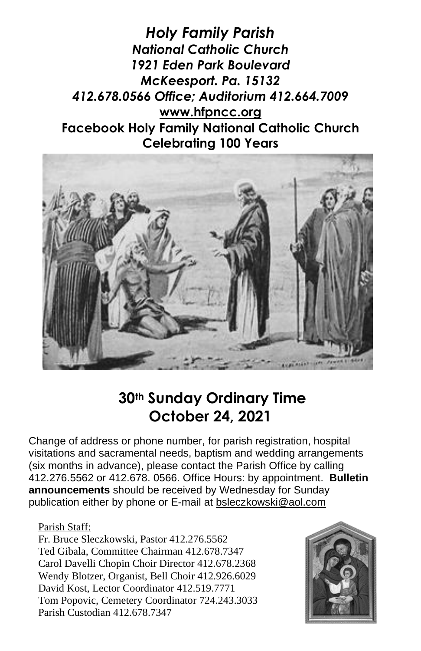*Holy Family Parish National Catholic Church 1921 Eden Park Boulevard McKeesport. Pa. 15132 412.678.0566 Office; Auditorium 412.664.7009* **[www.hfpncc.org](http://www.hfpncc.org/) Facebook Holy Family National Catholic Church Celebrating 100 Years**



## **30th Sunday Ordinary Time October 24, 2021**

Change of address or phone number, for parish registration, hospital visitations and sacramental needs, baptism and wedding arrangements (six months in advance), please contact the Parish Office by calling 412.276.5562 or 412.678. 0566. Office Hours: by appointment. **Bulletin announcements** should be received by Wednesday for Sunday publication either by phone or E-mail at [bsleczkowski@aol.com](mailto:bsleczkowski@aol.com)

#### Parish Staff:

Fr. Bruce Sleczkowski, Pastor 412.276.5562 Ted Gibala, Committee Chairman 412.678.7347 Carol Davelli Chopin Choir Director 412.678.2368 Wendy Blotzer, Organist, Bell Choir 412.926.6029 David Kost, Lector Coordinator 412.519.7771 Tom Popovic, Cemetery Coordinator 724.243.3033 Parish Custodian 412.678.7347

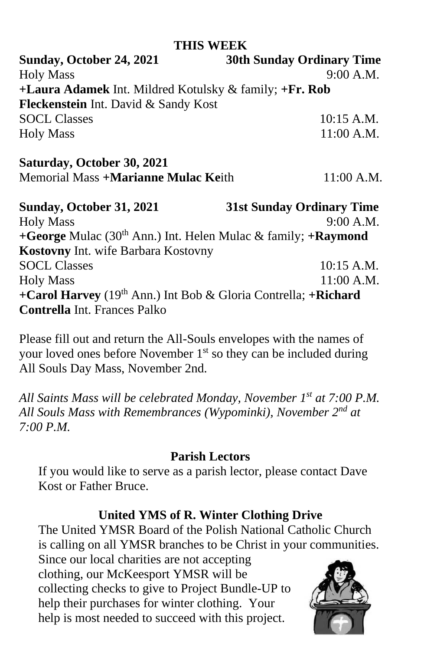#### **THIS WEEK**

**Sunday, October 24, 2021 30th Sunday Ordinary Time** Holy Mass 9:00 A.M. **+Laura Adamek** Int. Mildred Kotulsky & family; **+Fr. Rob Fleckenstein** Int. David & Sandy Kost SOCL Classes 10:15 A.M. Holy Mass 11:00 A.M. **Saturday, October 30, 2021** Memorial Mass **+Marianne Mulac Ke**ith 11:00 A.M. **Sunday, October 31, 2021 31st Sunday Ordinary Time**

Holy Mass 9:00 A.M. **+George** Mulac (30th Ann.) Int. Helen Mulac & family; **+Raymond Kostovny** Int. wife Barbara Kostovny SOCL Classes 10:15 A.M. Holy Mass 11:00 A.M. **+Carol Harvey** (19th Ann.) Int Bob & Gloria Contrella; **+Richard Contrella** Int. Frances Palko

Please fill out and return the All-Souls envelopes with the names of your loved ones before November 1<sup>st</sup> so they can be included during All Souls Day Mass, November 2nd.

*All Saints Mass will be celebrated Monday, November 1st at 7:00 P.M. All Souls Mass with Remembrances (Wypominki), November 2nd at 7:00 P.M.*

#### **Parish Lectors**

If you would like to serve as a parish lector, please contact Dave Kost or Father Bruce.

### **United YMS of R. Winter Clothing Drive**

The United YMSR Board of the Polish National Catholic Church is calling on all YMSR branches to be Christ in your communities.

Since our local charities are not accepting clothing, our McKeesport YMSR will be collecting checks to give to Project Bundle-UP to help their purchases for winter clothing. Your help is most needed to succeed with this project.

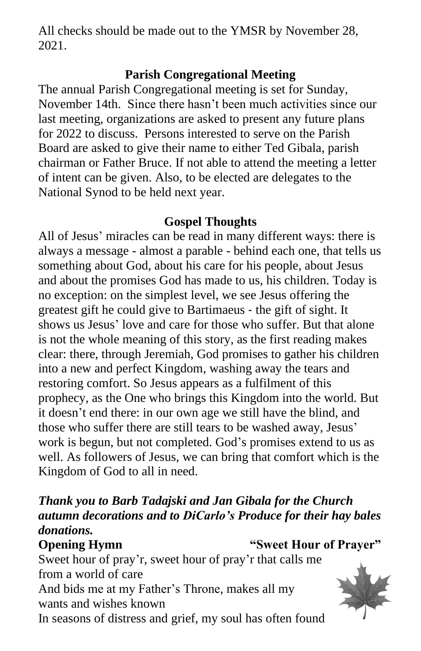All checks should be made out to the YMSR by November 28, 2021.

#### **Parish Congregational Meeting**

The annual Parish Congregational meeting is set for Sunday, November 14th. Since there hasn't been much activities since our last meeting, organizations are asked to present any future plans for 2022 to discuss. Persons interested to serve on the Parish Board are asked to give their name to either Ted Gibala, parish chairman or Father Bruce. If not able to attend the meeting a letter of intent can be given. Also, to be elected are delegates to the National Synod to be held next year.

#### **Gospel Thoughts**

All of Jesus' miracles can be read in many different ways: there is always a message - almost a parable - behind each one, that tells us something about God, about his care for his people, about Jesus and about the promises God has made to us, his children. Today is no exception: on the simplest level, we see Jesus offering the greatest gift he could give to Bartimaeus ‑ the gift of sight. It shows us Jesus' love and care for those who suffer. But that alone is not the whole meaning of this story, as the first reading makes clear: there, through Jeremiah, God promises to gather his children into a new and perfect Kingdom, washing away the tears and restoring comfort. So Jesus appears as a fulfilment of this prophecy, as the One who brings this Kingdom into the world. But it doesn't end there: in our own age we still have the blind, and those who suffer there are still tears to be washed away, Jesus' work is begun, but not completed. God's promises extend to us as well. As followers of Jesus, we can bring that comfort which is the Kingdom of God to all in need.

#### *Thank you to Barb Tadajski and Jan Gibala for the Church autumn decorations and to DiCarlo's Produce for their hay bales donations.*

**Opening Hymn** "Sweet Hour of Prayer"

Sweet hour of pray'r, sweet hour of pray'r that calls me from a world of care And bids me at my Father's Throne, makes all my wants and wishes known In seasons of distress and grief, my soul has often found